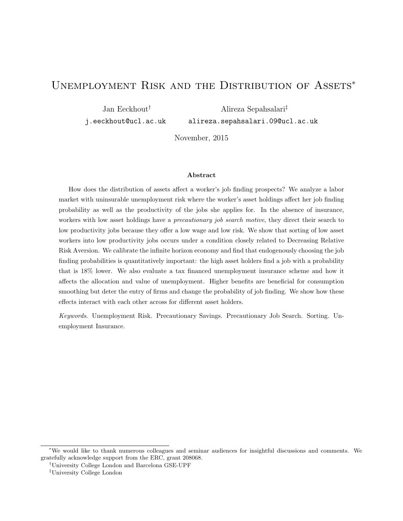# UNEMPLOYMENT RISK AND THE DISTRIBUTION OF ASSETS<sup>\*</sup>

Jan Eeckhout† j.eeckhout@ucl.ac.uk

Alireza Sepahsalari‡ alireza.sepahsalari.09@ucl.ac.uk

November, 2015

#### Abstract

How does the distribution of assets affect a worker's job finding prospects? We analyze a labor market with uninsurable unemployment risk where the worker's asset holdings affect her job finding probability as well as the productivity of the jobs she applies for. In the absence of insurance, workers with low asset holdings have a *precautionary job search motive*, they direct their search to low productivity jobs because they offer a low wage and low risk. We show that sorting of low asset workers into low productivity jobs occurs under a condition closely related to Decreasing Relative Risk Aversion. We calibrate the infinite horizon economy and find that endogenously choosing the job finding probabilities is quantitatively important: the high asset holders find a job with a probability that is 18% lower. We also evaluate a tax financed unemployment insurance scheme and how it affects the allocation and value of unemployment. Higher benefits are beneficial for consumption smoothing but deter the entry of firms and change the probability of job finding. We show how these effects interact with each other across for different asset holders.

Keywords. Unemployment Risk. Precautionary Savings. Precautionary Job Search. Sorting. Unemployment Insurance.

<sup>∗</sup>We would like to thank numerous colleagues and seminar audiences for insightful discussions and comments. We gratefully acknowledge support from the ERC, grant 208068.

<sup>†</sup>University College London and Barcelona GSE-UPF

<sup>‡</sup>University College London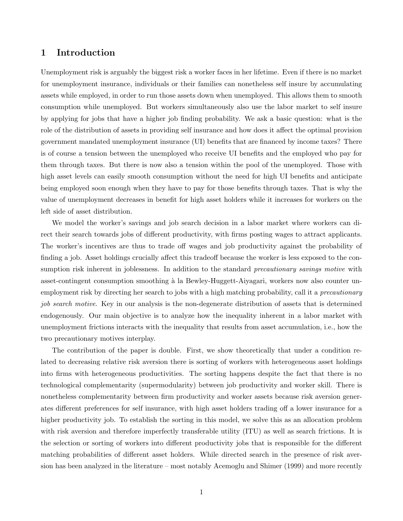## 1 Introduction

Unemployment risk is arguably the biggest risk a worker faces in her lifetime. Even if there is no market for unemployment insurance, individuals or their families can nonetheless self insure by accumulating assets while employed, in order to run those assets down when unemployed. This allows them to smooth consumption while unemployed. But workers simultaneously also use the labor market to self insure by applying for jobs that have a higher job finding probability. We ask a basic question: what is the role of the distribution of assets in providing self insurance and how does it affect the optimal provision government mandated unemployment insurance (UI) benefits that are financed by income taxes? There is of course a tension between the unemployed who receive UI benefits and the employed who pay for them through taxes. But there is now also a tension within the pool of the unemployed. Those with high asset levels can easily smooth consumption without the need for high UI benefits and anticipate being employed soon enough when they have to pay for those benefits through taxes. That is why the value of unemployment decreases in benefit for high asset holders while it increases for workers on the left side of asset distribution.

We model the worker's savings and job search decision in a labor market where workers can direct their search towards jobs of different productivity, with firms posting wages to attract applicants. The worker's incentives are thus to trade off wages and job productivity against the probability of finding a job. Asset holdings crucially affect this tradeoff because the worker is less exposed to the consumption risk inherent in joblessness. In addition to the standard *precautionary savings motive* with asset-contingent consumption smoothing à la Bewley-Huggett-Aiyagari, workers now also counter unemployment risk by directing her search to jobs with a high matching probability, call it a precautionary job search motive. Key in our analysis is the non-degenerate distribution of assets that is determined endogenously. Our main objective is to analyze how the inequality inherent in a labor market with unemployment frictions interacts with the inequality that results from asset accumulation, i.e., how the two precautionary motives interplay.

The contribution of the paper is double. First, we show theoretically that under a condition related to decreasing relative risk aversion there is sorting of workers with heterogeneous asset holdings into firms with heterogeneous productivities. The sorting happens despite the fact that there is no technological complementarity (supermodularity) between job productivity and worker skill. There is nonetheless complementarity between firm productivity and worker assets because risk aversion generates different preferences for self insurance, with high asset holders trading off a lower insurance for a higher productivity job. To establish the sorting in this model, we solve this as an allocation problem with risk aversion and therefore imperfectly transferable utility (ITU) as well as search frictions. It is the selection or sorting of workers into different productivity jobs that is responsible for the different matching probabilities of different asset holders. While directed search in the presence of risk aversion has been analyzed in the literature – most notably Acemoglu and Shimer (1999) and more recently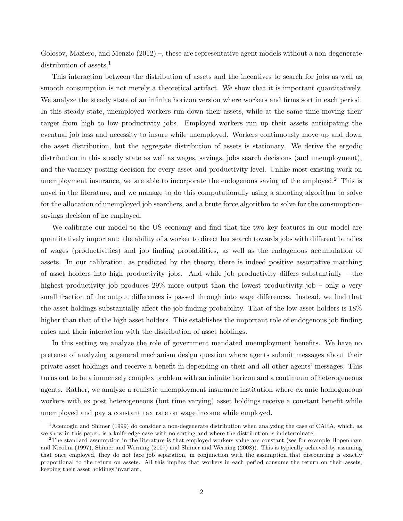Golosov, Maziero, and Menzio (2012) –, these are representative agent models without a non-degenerate distribution of assets.<sup>1</sup>

This interaction between the distribution of assets and the incentives to search for jobs as well as smooth consumption is not merely a theoretical artifact. We show that it is important quantitatively. We analyze the steady state of an infinite horizon version where workers and firms sort in each period. In this steady state, unemployed workers run down their assets, while at the same time moving their target from high to low productivity jobs. Employed workers run up their assets anticipating the eventual job loss and necessity to insure while unemployed. Workers continuously move up and down the asset distribution, but the aggregate distribution of assets is stationary. We derive the ergodic distribution in this steady state as well as wages, savings, jobs search decisions (and unemployment), and the vacancy posting decision for every asset and productivity level. Unlike most existing work on unemployment insurance, we are able to incorporate the endogenous saving of the employed.<sup>2</sup> This is novel in the literature, and we manage to do this computationally using a shooting algorithm to solve for the allocation of unemployed job searchers, and a brute force algorithm to solve for the consumptionsavings decision of he employed.

We calibrate our model to the US economy and find that the two key features in our model are quantitatively important: the ability of a worker to direct her search towards jobs with different bundles of wages (productivities) and job finding probabilities, as well as the endogenous accumulation of assets. In our calibration, as predicted by the theory, there is indeed positive assortative matching of asset holders into high productivity jobs. And while job productivity differs substantially – the highest productivity job produces 29% more output than the lowest productivity job – only a very small fraction of the output differences is passed through into wage differences. Instead, we find that the asset holdings substantially affect the job finding probability. That of the low asset holders is 18% higher than that of the high asset holders. This establishes the important role of endogenous job finding rates and their interaction with the distribution of asset holdings.

In this setting we analyze the role of government mandated unemployment benefits. We have no pretense of analyzing a general mechanism design question where agents submit messages about their private asset holdings and receive a benefit in depending on their and all other agents' messages. This turns out to be a immensely complex problem with an infinite horizon and a continuum of heterogeneous agents. Rather, we analyze a realistic unemployment insurance institution where ex ante homogeneous workers with ex post heterogeneous (but time varying) asset holdings receive a constant benefit while unemployed and pay a constant tax rate on wage income while employed.

<sup>1</sup>Acemoglu and Shimer (1999) do consider a non-degenerate distribution when analyzing the case of CARA, which, as we show in this paper, is a knife-edge case with no sorting and where the distribution is indeterminate.

<sup>&</sup>lt;sup>2</sup>The standard assumption in the literature is that employed workers value are constant (see for example Hopenhayn and Nicolini (1997), Shimer and Werning (2007) and Shimer and Werning (2008)). This is typically achieved by assuming that once employed, they do not face job separation, in conjunction with the assumption that discounting is exactly proportional to the return on assets. All this implies that workers in each period consume the return on their assets, keeping their asset holdings invariant.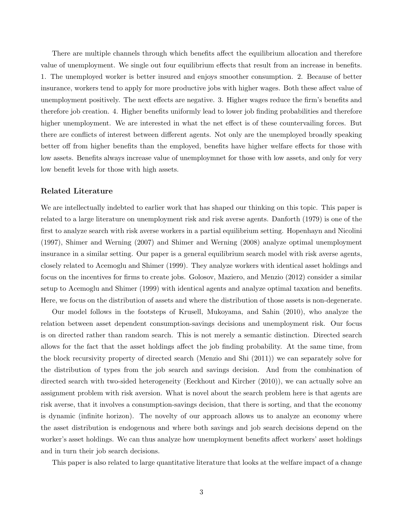There are multiple channels through which benefits affect the equilibrium allocation and therefore value of unemployment. We single out four equilibrium effects that result from an increase in benefits. 1. The unemployed worker is better insured and enjoys smoother consumption. 2. Because of better insurance, workers tend to apply for more productive jobs with higher wages. Both these affect value of unemployment positively. The next effects are negative. 3. Higher wages reduce the firm's benefits and therefore job creation. 4. Higher benefits uniformly lead to lower job finding probabilities and therefore higher unemployment. We are interested in what the net effect is of these countervailing forces. But there are conflicts of interest between different agents. Not only are the unemployed broadly speaking better off from higher benefits than the employed, benefits have higher welfare effects for those with low assets. Benefits always increase value of unemploymnet for those with low assets, and only for very low benefit levels for those with high assets.

## Related Literature

We are intellectually indebted to earlier work that has shaped our thinking on this topic. This paper is related to a large literature on unemployment risk and risk averse agents. Danforth (1979) is one of the first to analyze search with risk averse workers in a partial equilibrium setting. Hopenhayn and Nicolini (1997), Shimer and Werning (2007) and Shimer and Werning (2008) analyze optimal unemployment insurance in a similar setting. Our paper is a general equilibrium search model with risk averse agents, closely related to Acemoglu and Shimer (1999). They analyze workers with identical asset holdings and focus on the incentives for firms to create jobs. Golosov, Maziero, and Menzio (2012) consider a similar setup to Acemoglu and Shimer (1999) with identical agents and analyze optimal taxation and benefits. Here, we focus on the distribution of assets and where the distribution of those assets is non-degenerate.

Our model follows in the footsteps of Krusell, Mukoyama, and Sahin (2010), who analyze the relation between asset dependent consumption-savings decisions and unemployment risk. Our focus is on directed rather than random search. This is not merely a semantic distinction. Directed search allows for the fact that the asset holdings affect the job finding probability. At the same time, from the block recursivity property of directed search (Menzio and Shi (2011)) we can separately solve for the distribution of types from the job search and savings decision. And from the combination of directed search with two-sided heterogeneity (Eeckhout and Kircher (2010)), we can actually solve an assignment problem with risk aversion. What is novel about the search problem here is that agents are risk averse, that it involves a consumption-savings decision, that there is sorting, and that the economy is dynamic (infinite horizon). The novelty of our approach allows us to analyze an economy where the asset distribution is endogenous and where both savings and job search decisions depend on the worker's asset holdings. We can thus analyze how unemployment benefits affect workers' asset holdings and in turn their job search decisions.

This paper is also related to large quantitative literature that looks at the welfare impact of a change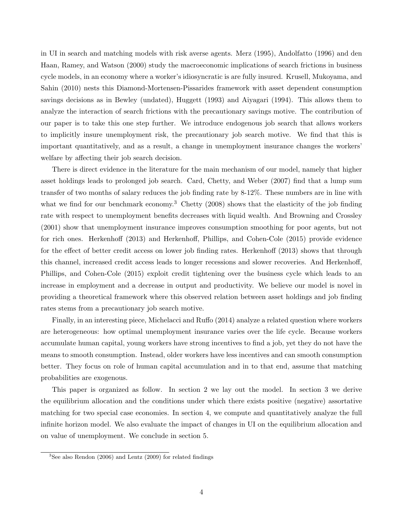in UI in search and matching models with risk averse agents. Merz (1995), Andolfatto (1996) and den Haan, Ramey, and Watson (2000) study the macroeconomic implications of search frictions in business cycle models, in an economy where a worker's idiosyncratic is are fully insured. Krusell, Mukoyama, and Sahin (2010) nests this Diamond-Mortensen-Pissarides framework with asset dependent consumption savings decisions as in Bewley (undated), Huggett (1993) and Aiyagari (1994). This allows them to analyze the interaction of search frictions with the precautionary savings motive. The contribution of our paper is to take this one step further. We introduce endogenous job search that allows workers to implicitly insure unemployment risk, the precautionary job search motive. We find that this is important quantitatively, and as a result, a change in unemployment insurance changes the workers' welfare by affecting their job search decision.

There is direct evidence in the literature for the main mechanism of our model, namely that higher asset holdings leads to prolonged job search. Card, Chetty, and Weber (2007) find that a lump sum transfer of two months of salary reduces the job finding rate by 8-12%. These numbers are in line with what we find for our benchmark economy.<sup>3</sup> Chetty (2008) shows that the elasticity of the job finding rate with respect to unemployment benefits decreases with liquid wealth. And Browning and Crossley (2001) show that unemployment insurance improves consumption smoothing for poor agents, but not for rich ones. Herkenhoff (2013) and Herkenhoff, Phillips, and Cohen-Cole (2015) provide evidence for the effect of better credit access on lower job finding rates. Herkenhoff (2013) shows that through this channel, increased credit access leads to longer recessions and slower recoveries. And Herkenhoff, Phillips, and Cohen-Cole (2015) exploit credit tightening over the business cycle which leads to an increase in employment and a decrease in output and productivity. We believe our model is novel in providing a theoretical framework where this observed relation between asset holdings and job finding rates stems from a precautionary job search motive.

Finally, in an interesting piece, Michelacci and Ruffo (2014) analyze a related question where workers are heterogeneous: how optimal unemployment insurance varies over the life cycle. Because workers accumulate human capital, young workers have strong incentives to find a job, yet they do not have the means to smooth consumption. Instead, older workers have less incentives and can smooth consumption better. They focus on role of human capital accumulation and in to that end, assume that matching probabilities are exogenous.

This paper is organized as follow. In section 2 we lay out the model. In section 3 we derive the equilibrium allocation and the conditions under which there exists positive (negative) assortative matching for two special case economies. In section 4, we compute and quantitatively analyze the full infinite horizon model. We also evaluate the impact of changes in UI on the equilibrium allocation and on value of unemployment. We conclude in section 5.

 $3$ See also Rendon (2006) and Lentz (2009) for related findings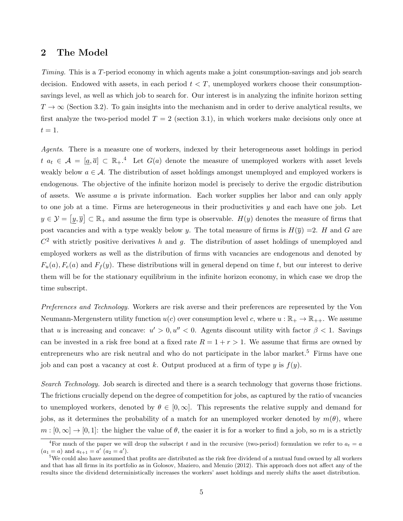## 2 The Model

Timing. This is a T-period economy in which agents make a joint consumption-savings and job search decision. Endowed with assets, in each period  $t < T$ , unemployed workers choose their consumptionsavings level, as well as which job to search for. Our interest is in analyzing the infinite horizon setting  $T \to \infty$  (Section 3.2). To gain insights into the mechanism and in order to derive analytical results, we first analyze the two-period model  $T = 2$  (section 3.1), in which workers make decisions only once at  $t=1.$ 

Agents. There is a measure one of workers, indexed by their heterogeneous asset holdings in period  $t \, a_t \in \mathcal{A} = [\underline{a}, \overline{a}] \subset \mathbb{R}_+$ .<sup>4</sup> Let  $G(a)$  denote the measure of unemployed workers with asset levels weakly below  $a \in \mathcal{A}$ . The distribution of asset holdings amongst unemployed and employed workers is endogenous. The objective of the infinite horizon model is precisely to derive the ergodic distribution of assets. We assume  $\alpha$  is private information. Each worker supplies her labor and can only apply to one job at a time. Firms are heterogeneous in their productivities  $y$  and each have one job. Let  $y \in \mathcal{Y} = [y, \overline{y}] \subset \mathbb{R}_+$  and assume the firm type is observable.  $H(y)$  denotes the measure of firms that post vacancies and with a type weakly below y. The total measure of firms is  $H(\bar{y}) = 2$ . H and G are  $C<sup>2</sup>$  with strictly positive derivatives h and g. The distribution of asset holdings of unemployed and employed workers as well as the distribution of firms with vacancies are endogenous and denoted by  $F_u(a), F_e(a)$  and  $F_f(y)$ . These distributions will in general depend on time t, but our interest to derive them will be for the stationary equilibrium in the infinite horizon economy, in which case we drop the time subscript.

Preferences and Technology. Workers are risk averse and their preferences are represented by the Von Neumann-Mergenstern utility function  $u(c)$  over consumption level c, where  $u : \mathbb{R}_+ \to \mathbb{R}_{++}$ . We assume that u is increasing and concave:  $u' > 0$ ,  $u'' < 0$ . Agents discount utility with factor  $\beta < 1$ . Savings can be invested in a risk free bond at a fixed rate  $R = 1 + r > 1$ . We assume that firms are owned by entrepreneurs who are risk neutral and who do not participate in the labor market.<sup>5</sup> Firms have one job and can post a vacancy at cost k. Output produced at a firm of type  $y$  is  $f(y)$ .

Search Technology. Job search is directed and there is a search technology that governs those frictions. The frictions crucially depend on the degree of competition for jobs, as captured by the ratio of vacancies to unemployed workers, denoted by  $\theta \in [0,\infty]$ . This represents the relative supply and demand for jobs, as it determines the probability of a match for an unemployed worker denoted by  $m(\theta)$ , where  $m : [0, \infty] \to [0, 1]$ : the higher the value of  $\theta$ , the easier it is for a worker to find a job, so m is a strictly

<sup>&</sup>lt;sup>4</sup>For much of the paper we will drop the subscript t and in the recursive (two-period) formulation we refer to  $a_t = a$  $(a_1 = a)$  and  $a_{t+1} = a'$   $(a_2 = a')$ .

<sup>5</sup>We could also have assumed that profits are distributed as the risk free dividend of a mutual fund owned by all workers and that has all firms in its portfolio as in Golosov, Maziero, and Menzio (2012). This approach does not affect any of the results since the dividend deterministically increases the workers' asset holdings and merely shifts the asset distribution.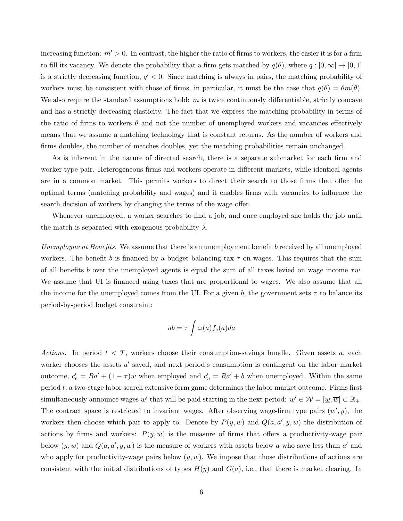increasing function:  $m' > 0$ . In contrast, the higher the ratio of firms to workers, the easier it is for a firm to fill its vacancy. We denote the probability that a firm gets matched by  $q(\theta)$ , where  $q:[0,\infty] \to [0,1]$ is a strictly decreasing function,  $q' < 0$ . Since matching is always in pairs, the matching probability of workers must be consistent with those of firms, in particular, it must be the case that  $q(\theta) = \theta m(\theta)$ . We also require the standard assumptions hold:  $m$  is twice continuously differentiable, strictly concave and has a strictly decreasing elasticity. The fact that we express the matching probability in terms of the ratio of firms to workers  $\theta$  and not the number of unemployed workers and vacancies effectively means that we assume a matching technology that is constant returns. As the number of workers and firms doubles, the number of matches doubles, yet the matching probabilities remain unchanged.

As is inherent in the nature of directed search, there is a separate submarket for each firm and worker type pair. Heterogeneous firms and workers operate in different markets, while identical agents are in a common market. This permits workers to direct their search to those firms that offer the optimal terms (matching probability and wages) and it enables firms with vacancies to influence the search decision of workers by changing the terms of the wage offer.

Whenever unemployed, a worker searches to find a job, and once employed she holds the job until the match is separated with exogenous probability  $\lambda$ .

Unemployment Benefits. We assume that there is an unemployment benefit b received by all unemployed workers. The benefit b is financed by a budget balancing tax  $\tau$  on wages. This requires that the sum of all benefits b over the unemployed agents is equal the sum of all taxes levied on wage income  $\tau w$ . We assume that UI is financed using taxes that are proportional to wages. We also assume that all the income for the unemployed comes from the UI. For a given b, the government sets  $\tau$  to balance its period-by-period budget constraint:

$$
ub = \tau \int \omega(a) f_e(a) da
$$

Actions. In period  $t < T$ , workers choose their consumption-savings bundle. Given assets a, each worker chooses the assets  $a'$  saved, and next period's consumption is contingent on the labor market outcome,  $c'_{e} = Ra' + (1 - \tau)w$  when employed and  $c'_{u} = Ra' + b$  when unemployed. Within the same period  $t$ , a two-stage labor search extensive form game determines the labor market outcome. Firms first simultaneously announce wages w' that will be paid starting in the next period:  $w' \in \mathcal{W} = [\underline{w}, \overline{w}] \subset \mathbb{R}_+$ . The contract space is restricted to invariant wages. After observing wage-firm type pairs  $(w', y)$ , the workers then choose which pair to apply to. Denote by  $P(y, w)$  and  $Q(a, a', y, w)$  the distribution of actions by firms and workers:  $P(y, w)$  is the measure of firms that offers a productivity-wage pair below  $(y, w)$  and  $Q(a, a', y, w)$  is the measure of workers with assets below a who save less than a' and who apply for productivity-wage pairs below  $(y, w)$ . We impose that those distributions of actions are consistent with the initial distributions of types  $H(y)$  and  $G(a)$ , i.e., that there is market clearing. In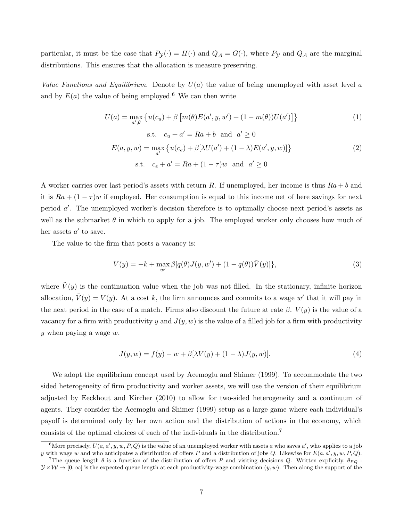particular, it must be the case that  $P_{\mathcal{Y}}(\cdot) = H(\cdot)$  and  $Q_{\mathcal{A}} = G(\cdot)$ , where  $P_{\mathcal{Y}}$  and  $Q_{\mathcal{A}}$  are the marginal distributions. This ensures that the allocation is measure preserving.

Value Functions and Equilibrium. Denote by  $U(a)$  the value of being unemployed with asset level a and by  $E(a)$  the value of being employed.<sup>6</sup> We can then write

$$
U(a) = \max_{a',\theta} \{ u(c_u) + \beta \left[ m(\theta)E(a', y, w') + (1 - m(\theta))U(a') \right] \}
$$
\n
$$
\text{s.t.} \quad c_u + a' = Ra + b \quad \text{and} \quad a' \ge 0
$$
\n
$$
(1)
$$

$$
E(a, y, w) = \max_{a'} \{ u(c_e) + \beta [\lambda U(a') + (1 - \lambda) E(a', y, w)] \}
$$
  
s.t.  $c_e + a' = Ra + (1 - \tau)w$  and  $a' \ge 0$  (2)

A worker carries over last period's assets with return R. If unemployed, her income is thus  $Ra + b$  and it is  $Ra + (1 - \tau)w$  if employed. Her consumption is equal to this income net of here savings for next period  $a'$ . The unemployed worker's decision therefore is to optimally choose next period's assets as well as the submarket  $\theta$  in which to apply for a job. The employed worker only chooses how much of her assets  $a'$  to save.

The value to the firm that posts a vacancy is:

$$
V(y) = -k + \max_{w'} \beta[q(\theta)J(y, w') + (1 - q(\theta))\tilde{V}(y)]\},\tag{3}
$$

where  $\tilde{V}(y)$  is the continuation value when the job was not filled. In the stationary, infinite horizon allocation,  $\tilde{V}(y) = V(y)$ . At a cost k, the firm announces and commits to a wage w' that it will pay in the next period in the case of a match. Firms also discount the future at rate  $\beta$ .  $V(y)$  is the value of a vacancy for a firm with productivity y and  $J(y, w)$  is the value of a filled job for a firm with productivity y when paying a wage w.

$$
J(y, w) = f(y) - w + \beta[\lambda V(y) + (1 - \lambda)J(y, w)].
$$
\n(4)

We adopt the equilibrium concept used by Acemoglu and Shimer (1999). To accommodate the two sided heterogeneity of firm productivity and worker assets, we will use the version of their equilibrium adjusted by Eeckhout and Kircher (2010) to allow for two-sided heterogeneity and a continuum of agents. They consider the Acemoglu and Shimer (1999) setup as a large game where each individual's payoff is determined only by her own action and the distribution of actions in the economy, which consists of the optimal choices of each of the individuals in the distribution.<sup>7</sup>

<sup>&</sup>lt;sup>6</sup>More precisely,  $U(a, a', y, w, P, Q)$  is the value of an unemployed worker with assets a who saves a', who applies to a job y with wage w and who anticipates a distribution of offers P and a distribution of jobs Q. Likewise for  $E(a, a', y, w, P, Q)$ .

<sup>&</sup>lt;sup>7</sup>The queue length  $\theta$  is a function of the distribution of offers P and visiting decisions Q. Written explicitly,  $\theta_{PQ}$ :  $y \times W \rightarrow [0, \infty]$  is the expected queue length at each productivity-wage combination  $(y, w)$ . Then along the support of the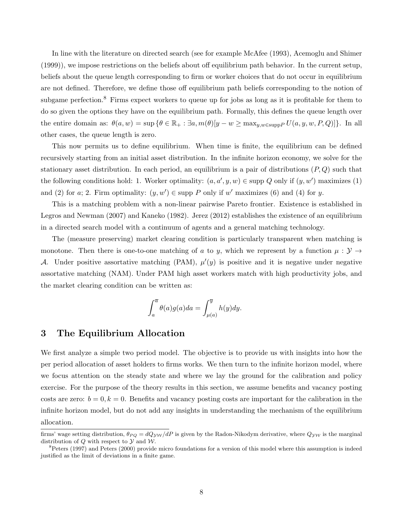In line with the literature on directed search (see for example McAfee (1993), Acemoglu and Shimer (1999)), we impose restrictions on the beliefs about off equilibrium path behavior. In the current setup, beliefs about the queue length corresponding to firm or worker choices that do not occur in equilibrium are not defined. Therefore, we define those off equilibrium path beliefs corresponding to the notion of subgame perfection.<sup>8</sup> Firms expect workers to queue up for jobs as long as it is profitable for them to do so given the options they have on the equilibrium path. Formally, this defines the queue length over the entire domain as:  $\theta(a, w) = \sup \{\theta \in \mathbb{R}_+ : \exists a, m(\theta)[y - w \ge \max_{y, w \in \text{supp} P} U(a, y, w, P, Q)]\}.$  In all other cases, the queue length is zero.

This now permits us to define equilibrium. When time is finite, the equilibrium can be defined recursively starting from an initial asset distribution. In the infinite horizon economy, we solve for the stationary asset distribution. In each period, an equilibrium is a pair of distributions  $(P, Q)$  such that the following conditions hold: 1. Worker optimality:  $(a, a', y, w) \in \text{supp } Q$  only if  $(y, w')$  maximizes (1) and (2) for a; 2. Firm optimality:  $(y, w') \in \text{supp } P$  only if w' maximizes (6) and (4) for y.

This is a matching problem with a non-linear pairwise Pareto frontier. Existence is established in Legros and Newman (2007) and Kaneko (1982). Jerez (2012) establishes the existence of an equilibrium in a directed search model with a continuum of agents and a general matching technology.

The (measure preserving) market clearing condition is particularly transparent when matching is monotone. Then there is one-to-one matching of a to y, which we represent by a function  $\mu : \mathcal{Y} \to$ A. Under positive assortative matching (PAM),  $\mu'(y)$  is positive and it is negative under negative assortative matching (NAM). Under PAM high asset workers match with high productivity jobs, and the market clearing condition can be written as:

$$
\int_a^{\overline{a}} \theta(a)g(a)da = \int_{\mu(a)}^{\overline{y}} h(y)dy.
$$

## 3 The Equilibrium Allocation

We first analyze a simple two period model. The objective is to provide us with insights into how the per period allocation of asset holders to firms works. We then turn to the infinite horizon model, where we focus attention on the steady state and where we lay the ground for the calibration and policy exercise. For the purpose of the theory results in this section, we assume benefits and vacancy posting costs are zero:  $b = 0$ ,  $k = 0$ . Benefits and vacancy posting costs are important for the calibration in the infinite horizon model, but do not add any insights in understanding the mechanism of the equilibrium allocation.

firms' wage setting distribution,  $\theta_{PQ} = dQ_{\rm VW}/dP$  is given by the Radon-Nikodym derivative, where  $Q_{\rm VW}$  is the marginal distribution of  $Q$  with respect to  $Y$  and  $W$ .

 ${}^{8}$ Peters (1997) and Peters (2000) provide micro foundations for a version of this model where this assumption is indeed justified as the limit of deviations in a finite game.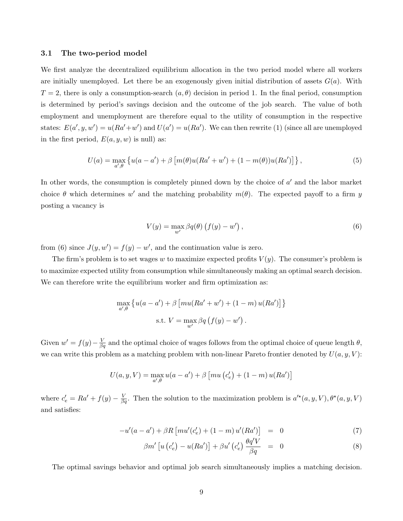### 3.1 The two-period model

We first analyze the decentralized equilibrium allocation in the two period model where all workers are initially unemployed. Let there be an exogenously given initial distribution of assets  $G(a)$ . With  $T = 2$ , there is only a consumption-search  $(a, \theta)$  decision in period 1. In the final period, consumption is determined by period's savings decision and the outcome of the job search. The value of both employment and unemployment are therefore equal to the utility of consumption in the respective states:  $E(a', y, w') = u(Ra' + w')$  and  $U(a') = u(Ra')$ . We can then rewrite (1) (since all are unemployed in the first period,  $E(a, y, w)$  is null) as:

$$
U(a) = \max_{a',\theta} \left\{ u(a-a') + \beta \left[ m(\theta)u(Ra'+w') + (1-m(\theta))u(Ra') \right] \right\},\tag{5}
$$

In other words, the consumption is completely pinned down by the choice of  $a'$  and the labor market choice  $\theta$  which determines w' and the matching probability  $m(\theta)$ . The expected payoff to a firm y posting a vacancy is

$$
V(y) = \max_{w'} \beta q(\theta) \left( f(y) - w' \right),\tag{6}
$$

from (6) since  $J(y, w') = f(y) - w'$ , and the continuation value is zero.

The firm's problem is to set wages w to maximize expected profits  $V(y)$ . The consumer's problem is to maximize expected utility from consumption while simultaneously making an optimal search decision. We can therefore write the equilibrium worker and firm optimization as:

$$
\max_{a',\theta} \left\{ u(a-a') + \beta \left[ mu(Ra' + w') + (1-m) u(Ra') \right] \right\}
$$
  
s.t.  $V = \max_{w'} \beta q (f(y) - w')$ .

Given  $w' = f(y) - \frac{V}{\beta q}$  and the optimal choice of wages follows from the optimal choice of queue length  $\theta$ , we can write this problem as a matching problem with non-linear Pareto frontier denoted by  $U(a, y, V)$ :

$$
U(a, y, V) = \max_{a', \theta} u(a - a') + \beta \left[ mu\left(c'_e\right) + (1 - m) u(Ra') \right]
$$

where  $c'_e = Ra' + f(y) - \frac{V}{\beta q}$ . Then the solution to the maximization problem is  $a'^*(a, y, V), \theta^*(a, y, V)$ and satisfies:

$$
-u'(a-a') + \beta R \left[ m u'(c'_e) + (1-m) u'(Ra') \right] = 0 \tag{7}
$$

$$
\beta m' \left[ u \left( c'_e \right) - u(Ra') \right] + \beta u' \left( c'_e \right) \frac{\theta q' V}{\beta q} = 0 \tag{8}
$$

The optimal savings behavior and optimal job search simultaneously implies a matching decision.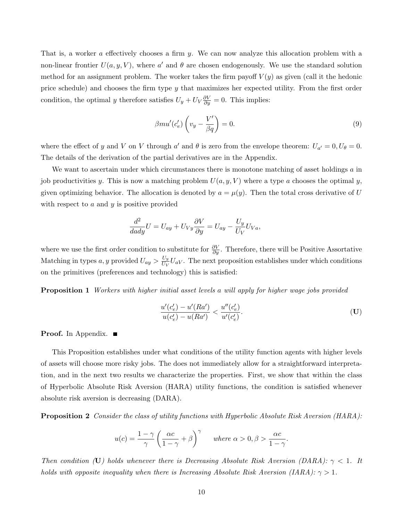That is, a worker a effectively chooses a firm y. We can now analyze this allocation problem with a non-linear frontier  $U(a, y, V)$ , where a' and  $\theta$  are chosen endogenously. We use the standard solution method for an assignment problem. The worker takes the firm payoff  $V(y)$  as given (call it the hedonic price schedule) and chooses the firm type y that maximizes her expected utility. From the first order condition, the optimal y therefore satisfies  $U_y + U_V \frac{\partial V}{\partial y} = 0$ . This implies:

$$
\beta m u'(c'_e) \left(v_y - \frac{V'}{\beta q}\right) = 0. \tag{9}
$$

where the effect of y and V on V through a' and  $\theta$  is zero from the envelope theorem:  $U_{a'} = 0, U_{\theta} = 0$ . The details of the derivation of the partial derivatives are in the Appendix.

We want to ascertain under which circumstances there is monotone matching of asset holdings  $a$  in job productivities y. This is now a matching problem  $U(a, y, V)$  where a type a chooses the optimal y, given optimizing behavior. The allocation is denoted by  $a = \mu(y)$ . Then the total cross derivative of U with respect to  $a$  and  $y$  is positive provided

$$
\frac{d^2}{dady}U = U_{ay} + U_{Vy}\frac{\partial V}{\partial y} = U_{ay} - \frac{U_y}{U_V}U_{Va},
$$

where we use the first order condition to substitute for  $\frac{\partial V}{\partial y}$ . Therefore, there will be Positive Assortative Matching in types a, y provided  $U_{ay} > \frac{U_y}{U_{yy}}$  $\frac{U_y}{U_V}U_{aV}$ . The next proposition establishes under which conditions on the primitives (preferences and technology) this is satisfied:

**Proposition 1** Workers with higher initial asset levels a will apply for higher wage jobs provided

$$
\frac{u'(c'_e) - u'(Ra')}{u(c'_e) - u(Ra')} < \frac{u''(c'_e)}{u'(c'_e)}.\tag{U}
$$

#### **Proof.** In Appendix.

This Proposition establishes under what conditions of the utility function agents with higher levels of assets will choose more risky jobs. The does not immediately allow for a straightforward interpretation, and in the next two results we characterize the properties. First, we show that within the class of Hyperbolic Absolute Risk Aversion (HARA) utility functions, the condition is satisfied whenever absolute risk aversion is decreasing (DARA).

**Proposition 2** Consider the class of utility functions with Hyperbolic Absolute Risk Aversion (HARA):

$$
u(c) = \frac{1-\gamma}{\gamma} \left(\frac{\alpha c}{1-\gamma} + \beta\right)^{\gamma} \quad \text{where } \alpha > 0, \beta > \frac{\alpha c}{1-\gamma}.
$$

Then condition (U) holds whenever there is Decreasing Absolute Risk Aversion (DARA):  $\gamma$  < 1. It holds with opposite inequality when there is Increasing Absolute Risk Aversion (IARA):  $\gamma > 1$ .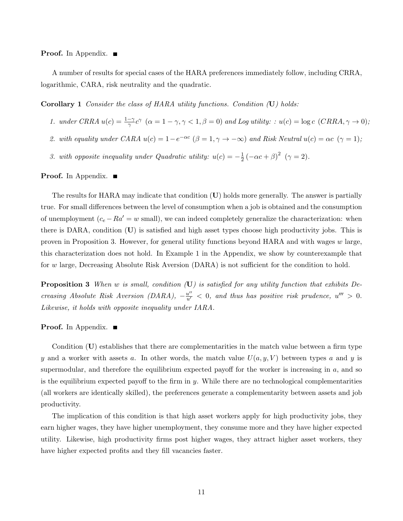#### **Proof.** In Appendix.

A number of results for special cases of the HARA preferences immediately follow, including CRRA, logarithmic, CARA, risk neutrality and the quadratic.

Corollary 1 Consider the class of HARA utility functions. Condition (U) holds:

- 1. under CRRA  $u(c) = \frac{1-\gamma}{\gamma}c^{\gamma}$   $(\alpha = 1 \gamma, \gamma < 1, \beta = 0)$  and Log utility: :  $u(c) = \log c$   $(CRRA, \gamma \to 0)$ ;
- 2. with equality under CARA  $u(c) = 1 e^{-\alpha c}$   $(\beta = 1, \gamma \to -\infty)$  and Risk Neutral  $u(c) = \alpha c$   $(\gamma = 1)$ ;
- 3. with opposite inequality under Quadratic utility:  $u(c) = -\frac{1}{2}$  $\frac{1}{2}(-\alpha c + \beta)^2$   $(\gamma = 2)$ .

**Proof.** In Appendix.

The results for HARA may indicate that condition (U) holds more generally. The answer is partially true. For small differences between the level of consumption when a job is obtained and the consumption of unemployment  $(c_e - Ra' = w \text{ small})$ , we can indeed completely generalize the characterization: when there is DARA, condition (U) is satisfied and high asset types choose high productivity jobs. This is proven in Proposition 3. However, for general utility functions beyond HARA and with wages w large, this characterization does not hold. In Example 1 in the Appendix, we show by counterexample that for w large, Decreasing Absolute Risk Aversion (DARA) is not sufficient for the condition to hold.

**Proposition 3** When w is small, condition  $(U)$  is satisfied for any utility function that exhibits Decreasing Absolute Risk Aversion (DARA),  $-\frac{u''}{u'} < 0$ , and thus has positive risk prudence,  $u''' > 0$ . Likewise, it holds with opposite inequality under IARA.

#### **Proof.** In Appendix.

Condition  $(U)$  establishes that there are complementarities in the match value between a firm type y and a worker with assets a. In other words, the match value  $U(a, y, V)$  between types a and y is supermodular, and therefore the equilibrium expected payoff for the worker is increasing in a, and so is the equilibrium expected payoff to the firm in  $y$ . While there are no technological complementarities (all workers are identically skilled), the preferences generate a complementarity between assets and job productivity.

The implication of this condition is that high asset workers apply for high productivity jobs, they earn higher wages, they have higher unemployment, they consume more and they have higher expected utility. Likewise, high productivity firms post higher wages, they attract higher asset workers, they have higher expected profits and they fill vacancies faster.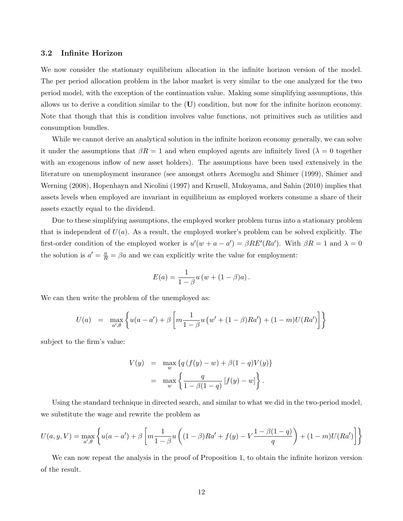### 3.2 Infinite Horizon

We now consider the stationary equilibrium allocation in the infinite horizon version of the model. The per period allocation problem in the labor market is very similar to the one analyzed for the two period model, with the exception of the continuation value. Making some simplifying assumptions, this allows us to derive a condition similar to the (U) condition, but now for the infinite horizon economy. Note that though that this is condition involves value functions, not primitives such as utilities and consumption bundles.

While we cannot derive an analytical solution in the infinite horizon economy generally, we can solve it under the assumptions that  $\beta R = 1$  and when employed agents are infinitely lived ( $\lambda = 0$  together with an exogenous inflow of new asset holders). The assumptions have been used extensively in the literature on unemployment insurance (see amongst others Acemoglu and Shimer (1999), Shimer and Werning (2008), Hopenhayn and Nicolini (1997) and Krusell, Mukoyama, and Sahin (2010) implies that assets levels when employed are invariant in equilibrium as employed workers consume a share of their assets exactly equal to the dividend.

Due to these simplifying assumptions, the employed worker problem turns into a stationary problem that is independent of  $U(a)$ . As a result, the employed worker's problem can be solved explicitly. The first-order condition of the employed worker is  $u'(w + a - a') = \beta RE'(Ra')$ . With  $\beta R = 1$  and  $\lambda = 0$ the solution is  $a' = \frac{a}{R} = \beta a$  and we can explicitly write the value for employment:

$$
E(a) = \frac{1}{1 - \beta} u (w + (1 - \beta)a).
$$

We can then write the problem of the unemployed as:

$$
U(a) = \max_{a',\theta} \left\{ u(a-a') + \beta \left[ m \frac{1}{1-\beta} u \left( w' + (1-\beta)Ra' \right) + (1-m)U(Ra') \right] \right\}
$$

subject to the firm's value:

$$
V(y) = \max_{w} \{ q(f(y) - w) + \beta(1 - q)V(y) \}
$$
  
= 
$$
\max_{w} \left\{ \frac{q}{1 - \beta(1 - q)} [f(y) - w] \right\}.
$$

Using the standard technique in directed search, and similar to what we did in the two-period model, we substitute the wage and rewrite the problem as

$$
U(a, y, V) = \max_{a', \theta} \left\{ u(a - a') + \beta \left[ m \frac{1}{1 - \beta} u \left( (1 - \beta) Ra' + f(y) - V \frac{1 - \beta (1 - q)}{q} \right) + (1 - m) U(Ra') \right] \right\}
$$

We can now repeat the analysis in the proof of Proposition 1, to obtain the infinite horizon version of the result.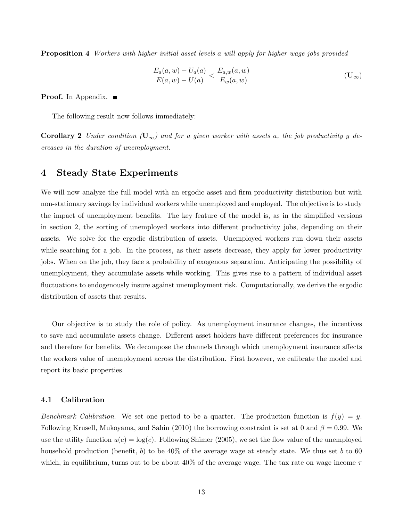Proposition 4 Workers with higher initial asset levels a will apply for higher wage jobs provided

$$
\frac{E_a(a, w) - U_a(a)}{E(a, w) - U(a)} < \frac{E_{a,w}(a, w)}{E_w(a, w)}\tag{U_\infty}
$$

**Proof.** In Appendix.

The following result now follows immediately:

**Corollary 2** Under condition  $(U_{\infty})$  and for a given worker with assets a, the job productivity y decreases in the duration of unemployment.

# 4 Steady State Experiments

We will now analyze the full model with an ergodic asset and firm productivity distribution but with non-stationary savings by individual workers while unemployed and employed. The objective is to study the impact of unemployment benefits. The key feature of the model is, as in the simplified versions in section 2, the sorting of unemployed workers into different productivity jobs, depending on their assets. We solve for the ergodic distribution of assets. Unemployed workers run down their assets while searching for a job. In the process, as their assets decrease, they apply for lower productivity jobs. When on the job, they face a probability of exogenous separation. Anticipating the possibility of unemployment, they accumulate assets while working. This gives rise to a pattern of individual asset fluctuations to endogenously insure against unemployment risk. Computationally, we derive the ergodic distribution of assets that results.

Our objective is to study the role of policy. As unemployment insurance changes, the incentives to save and accumulate assets change. Different asset holders have different preferences for insurance and therefore for benefits. We decompose the channels through which unemployment insurance affects the workers value of unemployment across the distribution. First however, we calibrate the model and report its basic properties.

#### 4.1 Calibration

Benchmark Calibration. We set one period to be a quarter. The production function is  $f(y) = y$ . Following Krusell, Mukoyama, and Sahin (2010) the borrowing constraint is set at 0 and  $\beta = 0.99$ . We use the utility function  $u(c) = \log(c)$ . Following Shimer (2005), we set the flow value of the unemployed household production (benefit, b) to be  $40\%$  of the average wage at steady state. We thus set b to 60 which, in equilibrium, turns out to be about  $40\%$  of the average wage. The tax rate on wage income  $\tau$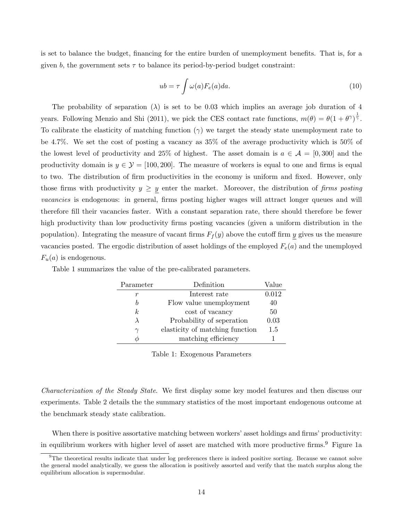is set to balance the budget, financing for the entire burden of unemployment benefits. That is, for a given b, the government sets  $\tau$  to balance its period-by-period budget constraint:

$$
ub = \tau \int \omega(a) F_e(a) da.
$$
 (10)

The probability of separation  $(\lambda)$  is set to be 0.03 which implies an average job duration of 4 years. Following Menzio and Shi (2011), we pick the CES contact rate functions,  $m(\theta) = \theta(1 + \theta^{\gamma})^{\frac{1}{\gamma}}$ . To calibrate the elasticity of matching function  $(\gamma)$  we target the steady state unemployment rate to be 4.7%. We set the cost of posting a vacancy as 35% of the average productivity which is 50% of the lowest level of productivity and 25% of highest. The asset domain is  $a \in \mathcal{A} = [0, 300]$  and the productivity domain is  $y \in \mathcal{Y} = [100, 200]$ . The measure of workers is equal to one and firms is equal to two. The distribution of firm productivities in the economy is uniform and fixed. However, only those firms with productivity  $y \geq y$  enter the market. Moreover, the distribution of firms posting vacancies is endogenous: in general, firms posting higher wages will attract longer queues and will therefore fill their vacancies faster. With a constant separation rate, there should therefore be fewer high productivity than low productivity firms posting vacancies (given a uniform distribution in the population). Integrating the measure of vacant firms  $F_f(y)$  above the cutoff firm y gives us the measure vacancies posted. The ergodic distribution of asset holdings of the employed  $F_e(a)$  and the unemployed  $F_u(a)$  is endogenous.

| Parameter      | Definition                      | Value |
|----------------|---------------------------------|-------|
| r              | Interest rate                   | 0.012 |
| h              | Flow value unemployment         | 40    |
| k <sub>i</sub> | cost of vacancy                 | 50    |
| $\lambda$      | Probability of seperation       | 0.03  |
| $\gamma$       | elasticity of matching function | 1.5   |
|                | matching efficiency             |       |

Table 1 summarizes the value of the pre-calibrated parameters.

Table 1: Exogenous Parameters

Characterization of the Steady State. We first display some key model features and then discuss our experiments. Table 2 details the the summary statistics of the most important endogenous outcome at the benchmark steady state calibration.

When there is positive assortative matching between workers' asset holdings and firms' productivity: in equilibrium workers with higher level of asset are matched with more productive firms.<sup>9</sup> Figure 1a

<sup>&</sup>lt;sup>9</sup>The theoretical results indicate that under log preferences there is indeed positive sorting. Because we cannot solve the general model analytically, we guess the allocation is positively assorted and verify that the match surplus along the equilibrium allocation is supermodular.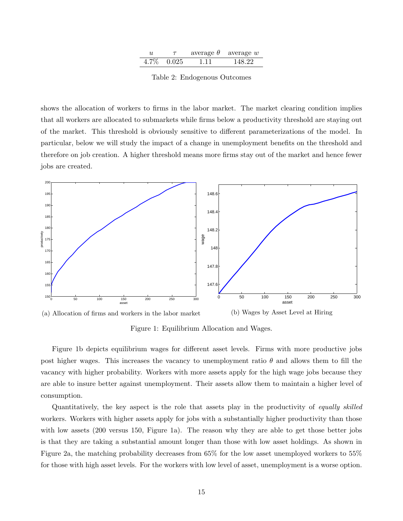| u | $\tau$        | average $\theta$ | average w |
|---|---------------|------------------|-----------|
|   | $4.7\%$ 0.025 | 1.11             | 148.22    |

Table 2: Endogenous Outcomes

shows the allocation of workers to firms in the labor market. The market clearing condition implies that all workers are allocated to submarkets while firms below a productivity threshold are staying out of the market. This threshold is obviously sensitive to different parameterizations of the model. In particular, below we will study the impact of a change in unemployment benefits on the threshold and therefore on job creation. A higher threshold means more firms stay out of the market and hence fewer jobs are created.





Figure 1: Equilibrium Allocation and Wages.

Figure 1b depicts equilibrium wages for different asset levels. Firms with more productive jobs post higher wages. This increases the vacancy to unemployment ratio  $\theta$  and allows them to fill the vacancy with higher probability. Workers with more assets apply for the high wage jobs because they are able to insure better against unemployment. Their assets allow them to maintain a higher level of consumption.

Quantitatively, the key aspect is the role that assets play in the productivity of equally skilled workers. Workers with higher assets apply for jobs with a substantially higher productivity than those with low assets (200 versus 150, Figure 1a). The reason why they are able to get those better jobs is that they are taking a substantial amount longer than those with low asset holdings. As shown in Figure 2a, the matching probability decreases from 65% for the low asset unemployed workers to 55% for those with high asset levels. For the workers with low level of asset, unemployment is a worse option.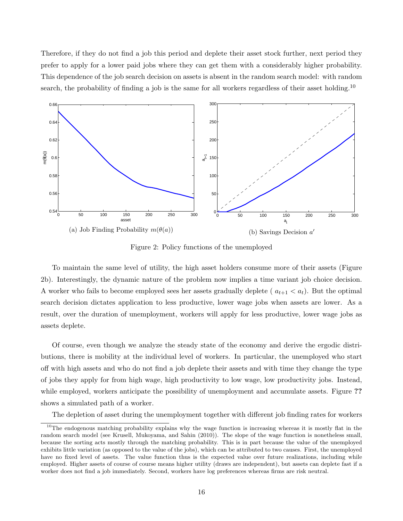Therefore, if they do not find a job this period and deplete their asset stock further, next period they prefer to apply for a lower paid jobs where they can get them with a considerably higher probability. This dependence of the job search decision on assets is absent in the random search model: with random search, the probability of finding a job is the same for all workers regardless of their asset holding.<sup>10</sup>



Figure 2: Policy functions of the unemployed

To maintain the same level of utility, the high asset holders consume more of their assets (Figure 2b). Interestingly, the dynamic nature of the problem now implies a time variant job choice decision. A worker who fails to become employed sees her assets gradually deplete ( $a_{t+1} < a_t$ ). But the optimal search decision dictates application to less productive, lower wage jobs when assets are lower. As a result, over the duration of unemployment, workers will apply for less productive, lower wage jobs as assets deplete.

Of course, even though we analyze the steady state of the economy and derive the ergodic distributions, there is mobility at the individual level of workers. In particular, the unemployed who start off with high assets and who do not find a job deplete their assets and with time they change the type of jobs they apply for from high wage, high productivity to low wage, low productivity jobs. Instead, while employed, workers anticipate the possibility of unemployment and accumulate assets. Figure ?? shows a simulated path of a worker.

The depletion of asset during the unemployment together with different job finding rates for workers

<sup>&</sup>lt;sup>10</sup>The endogenous matching probability explains why the wage function is increasing whereas it is mostly flat in the random search model (see Krusell, Mukoyama, and Sahin (2010)). The slope of the wage function is nonetheless small, because the sorting acts mostly through the matching probability. This is in part because the value of the unemployed exhibits little variation (as opposed to the value of the jobs), which can be attributed to two causes. First, the unemployed have no fixed level of assets. The value function thus is the expected value over future realizations, including while employed. Higher assets of course of course means higher utility (draws are independent), but assets can deplete fast if a worker does not find a job immediately. Second, workers have log preferences whereas firms are risk neutral.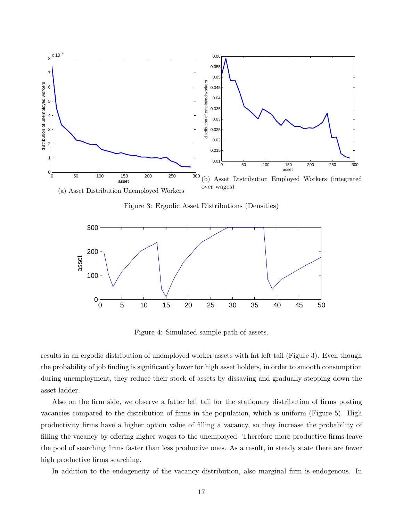

Figure 3: Ergodic Asset Distributions (Densities)



Figure 4: Simulated sample path of assets.

the probability of job finding is significantly lower for high asset holders, in order to smooth consumption results in an ergodic distribution of unemployed worker assets with fat left tail (Figure 3). Even though during unemployment, they reduce their stock of assets by dissaving and gradually stepping down the asset ladder.

 $\mathbf{u}$  becomes the contract of  $\mathbf{u}$  in  $\mathbf{u}$  and  $\mathbf{u}$   $\mathbf{u}$  and  $\mathbf{u}$   $\mathbf{u}$  and  $\mathbf{u}$   $\mathbf{u}$ Also on the firm side, we observe a fatter left tail for the stationary distribution of firms posting vacancies compared to the distribution of firms in the population, which is uniform (Figure 5). High productivity firms have a higher option value of filling a vacancy, so they increase the probability of filling the vacancy by offering higher wages to the unemployed. Therefore more productive firms leave the pool of searching firms faster than less productive ones. As a result, in steady state there are fewer high productive firms searching.

In addition to the endogeneity of the vacancy distribution, also marginal firm is endogenous. In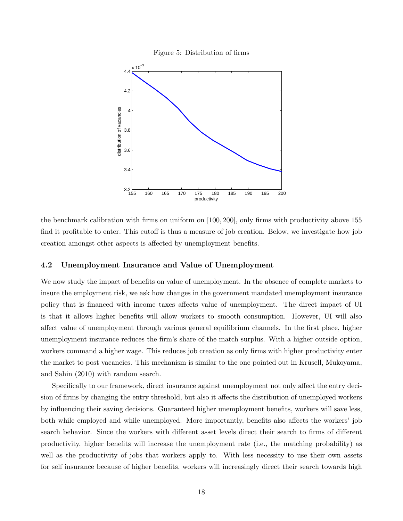



the benchmark calibration with firms on uniform on [100, 200], only firms with productivity above 155 find it profitable to enter. This cutoff is thus a measure of job creation. Below, we investigate how job creation amongst other aspects is affected by unemployment benefits.

## 4.2 Unemployment Insurance and Value of Unemployment

We now study the impact of benefits on value of unemployment. In the absence of complete markets to insure the employment risk, we ask how changes in the government mandated unemployment insurance policy that is financed with income taxes affects value of unemployment. The direct impact of UI is that it allows higher benefits will allow workers to smooth consumption. However, UI will also affect value of unemployment through various general equilibrium channels. In the first place, higher unemployment insurance reduces the firm's share of the match surplus. With a higher outside option, workers command a higher wage. This reduces job creation as only firms with higher productivity enter the market to post vacancies. This mechanism is similar to the one pointed out in Krusell, Mukoyama, and Sahin (2010) with random search.

Specifically to our framework, direct insurance against unemployment not only affect the entry decision of firms by changing the entry threshold, but also it affects the distribution of unemployed workers by influencing their saving decisions. Guaranteed higher unemployment benefits, workers will save less, both while employed and while unemployed. More importantly, benefits also affects the workers' job search behavior. Since the workers with different asset levels direct their search to firms of different productivity, higher benefits will increase the unemployment rate (i.e., the matching probability) as well as the productivity of jobs that workers apply to. With less necessity to use their own assets for self insurance because of higher benefits, workers will increasingly direct their search towards high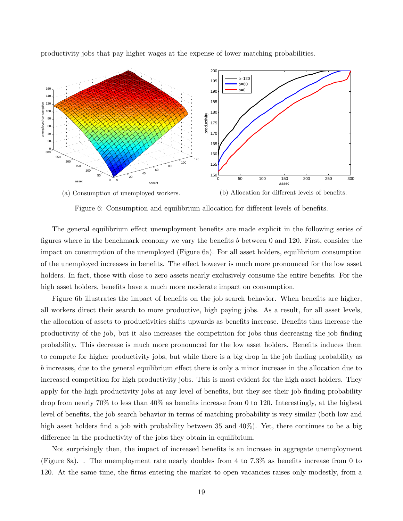

productivity jobs that pay higher wages at the expense of lower matching probabilities.

Figure 6: Consumption and equilibrium allocation for different levels of benefits.

The general equilibrium effect unemployment benefits are made explicit in the following series of figures where in the benchmark economy we vary the benefits b between 0 and 120. First, consider the impact on consumption of the unemployed (Figure 6a). For all asset holders, equilibrium consumption of the unemployed increases in benefits. The effect however is much more pronounced for the low asset holders. In fact, those with close to zero assets nearly exclusively consume the entire benefits. For the high asset holders, benefits have a much more moderate impact on consumption.

Figure 6b illustrates the impact of benefits on the job search behavior. When benefits are higher, all workers direct their search to more productive, high paying jobs. As a result, for all asset levels, the allocation of assets to productivities shifts upwards as benefits increase. Benefits thus increase the productivity of the job, but it also increases the competition for jobs thus decreasing the job finding probability. This decrease is much more pronounced for the low asset holders. Benefits induces them to compete for higher productivity jobs, but while there is a big drop in the job finding probability as b increases, due to the general equilibrium effect there is only a minor increase in the allocation due to increased competition for high productivity jobs. This is most evident for the high asset holders. They apply for the high productivity jobs at any level of benefits, but they see their job finding probability drop from nearly 70% to less than 40% as benefits increase from 0 to 120. Interestingly, at the highest level of benefits, the job search behavior in terms of matching probability is very similar (both low and high asset holders find a job with probability between 35 and 40%). Yet, there continues to be a big difference in the productivity of the jobs they obtain in equilibrium.

Not surprisingly then, the impact of increased benefits is an increase in aggregate unemployment (Figure 8a). . The unemployment rate nearly doubles from 4 to 7.3% as benefits increase from 0 to 120. At the same time, the firms entering the market to open vacancies raises only modestly, from a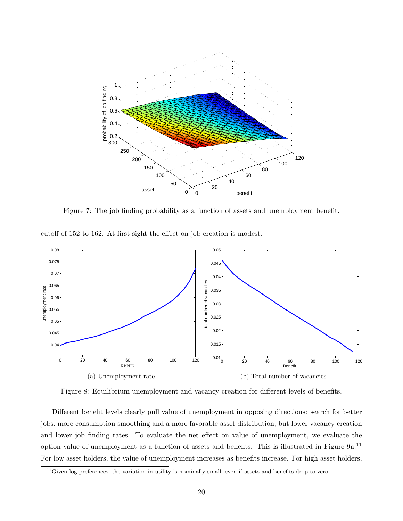

Figure 7: The job finding probability as a function of assets and unemployment benefit.

cutoff of 152 to 162. At first sight the effect on job creation is modest.



Figure 8: Equilibrium unemployment and vacancy creation for different levels of benefits.

Different benefit levels clearly pull value of unemployment in opposing directions: search for better jobs, more consumption smoothing and a more favorable asset distribution, but lower vacancy creation and lower job finding rates. To evaluate the net effect on value of unemployment, we evaluate the option value of unemployment as a function of assets and benefits. This is illustrated in Figure 9a.<sup>11</sup> For low asset holders, the value of unemployment increases as benefits increase. For high asset holders,

 $11$ Given log preferences, the variation in utility is nominally small, even if assets and benefits drop to zero.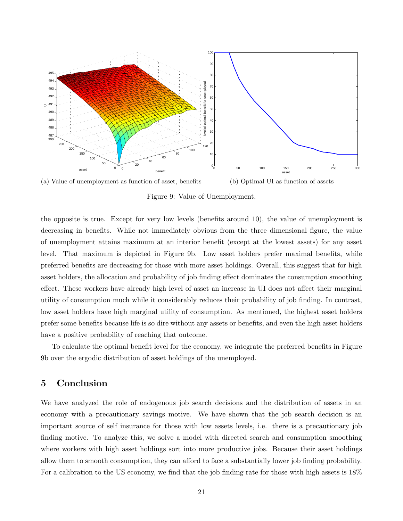

(a) Value of unemployment as function of asset, benefits (b) Optimal UI as function of assets

Figure 9: Value of Unemployment.

the opposite is true. Except for very low levels (benefits around 10), the value of unemployment is decreasing in benefits. While not immediately obvious from the three dimensional figure, the value of unemployment attains maximum at an interior benefit (except at the lowest assets) for any asset level. That maximum is depicted in Figure 9b. Low asset holders prefer maximal benefits, while preferred benefits are decreasing for those with more asset holdings. Overall, this suggest that for high asset holders, the allocation and probability of job finding effect dominates the consumption smoothing effect. These workers have already high level of asset an increase in UI does not affect their marginal utility of consumption much while it considerably reduces their probability of job finding. In contrast, low asset holders have high marginal utility of consumption. As mentioned, the highest asset holders prefer some benefits because life is so dire without any assets or benefits, and even the high asset holders have a positive probability of reaching that outcome.

To calculate the optimal benefit level for the economy, we integrate the preferred benefits in Figure 9b over the ergodic distribution of asset holdings of the unemployed.

# 5 Conclusion

We have analyzed the role of endogenous job search decisions and the distribution of assets in an economy with a precautionary savings motive. We have shown that the job search decision is an important source of self insurance for those with low assets levels, i.e. there is a precautionary job finding motive. To analyze this, we solve a model with directed search and consumption smoothing where workers with high asset holdings sort into more productive jobs. Because their asset holdings allow them to smooth consumption, they can afford to face a substantially lower job finding probability. For a calibration to the US economy, we find that the job finding rate for those with high assets is 18%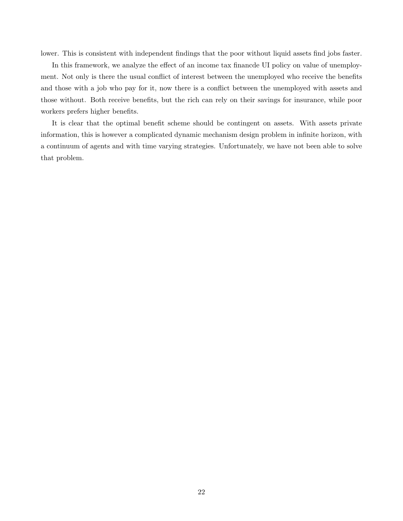lower. This is consistent with independent findings that the poor without liquid assets find jobs faster.

In this framework, we analyze the effect of an income tax financde UI policy on value of unemployment. Not only is there the usual conflict of interest between the unemployed who receive the benefits and those with a job who pay for it, now there is a conflict between the unemployed with assets and those without. Both receive benefits, but the rich can rely on their savings for insurance, while poor workers prefers higher benefits.

It is clear that the optimal benefit scheme should be contingent on assets. With assets private information, this is however a complicated dynamic mechanism design problem in infinite horizon, with a continuum of agents and with time varying strategies. Unfortunately, we have not been able to solve that problem.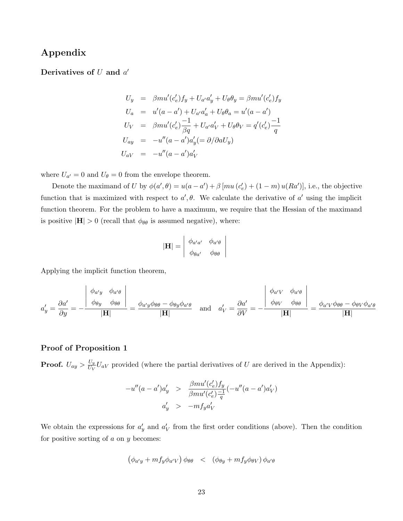# Appendix

# Derivatives of  $U$  and  $a'$

$$
U_y = \beta m u'(c'_e) f_y + U_{a'} a'_y + U_{\theta} \theta_y = \beta m u'(c'_e) f_y
$$
  
\n
$$
U_a = u'(a - a') + U_{a'} a'_a + U_{\theta} \theta_a = u'(a - a')
$$
  
\n
$$
U_V = \beta m u'(c'_e) \frac{-1}{\beta q} + U_{a'} a'_V + U_{\theta} \theta_V = q'(c'_e) \frac{-1}{q}
$$
  
\n
$$
U_{ay} = -u''(a - a') a'_y (= \partial/\partial a U_y)
$$
  
\n
$$
U_{aV} = -u''(a - a') a'_V
$$

where  $U_{a'} = 0$  and  $U_{\theta} = 0$  from the envelope theorem.

Denote the maximand of U by  $\phi(a', \theta) = u(a - a') + \beta [mu (c'_{e}) + (1 - m) u(Ra')]$ , i.e., the objective function that is maximized with respect to  $a', \theta$ . We calculate the derivative of  $a'$  using the implicit function theorem. For the problem to have a maximum, we require that the Hessian of the maximand is positive  $|\mathbf{H}| > 0$  (recall that  $\phi_{\theta\theta}$  is assumed negative), where:

$$
|\mathbf{H}| = \begin{vmatrix} \phi_{a'a'} & \phi_{a'\theta} \\ \phi_{\theta a'} & \phi_{\theta \theta} \end{vmatrix}
$$

Applying the implicit function theorem,

$$
a'_{y} = \frac{\partial a'}{\partial y} = -\frac{\begin{vmatrix} \phi_{a'y} & \phi_{a'\theta} \\ \phi_{\theta y} & \phi_{\theta \theta} \end{vmatrix}}{|\mathbf{H}|} = \frac{\phi_{a'y}\phi_{\theta\theta} - \phi_{\theta y}\phi_{a'\theta}}{|\mathbf{H}|} \text{ and } a'_{V} = \frac{\partial a'}{\partial V} = -\frac{\begin{vmatrix} \phi_{a'V} & \phi_{a'\theta} \\ \phi_{\theta V} & \phi_{\theta \theta} \end{vmatrix}}{|\mathbf{H}|} = \frac{\phi_{a'V}\phi_{\theta\theta} - \phi_{\theta V}\phi_{a'\theta}}{|\mathbf{H}|}
$$

## Proof of Proposition 1

**Proof.**  $U_{ay} > \frac{U_y}{U_V}$  $\frac{U_y}{U_V}U_{aV}$  provided (where the partial derivatives of U are derived in the Appendix):

$$
-u''(a-a')a'_y > \frac{\beta m u'(c'_e) f_y}{\beta m u'(c'_e) \frac{-1}{q}} (-u''(a-a')a'_V)
$$
  

$$
a'_y > -m f_y a'_V
$$

We obtain the expressions for  $a'_y$  and  $a'_y$  from the first order conditions (above). Then the condition for positive sorting of  $a$  on  $y$  becomes:

$$
(\phi_{a'y} + m f_y \phi_{a'V}) \phi_{\theta\theta} \quad < \quad (\phi_{\theta y} + m f_y \phi_{\theta V}) \phi_{a'\theta}
$$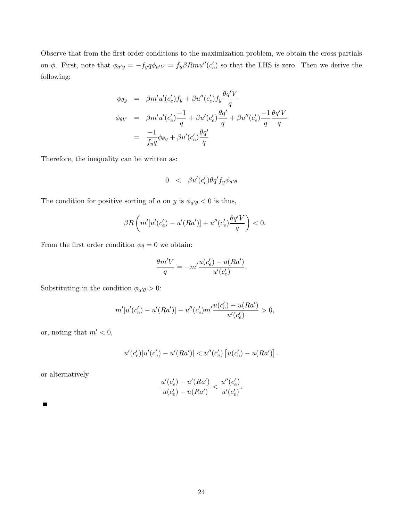Observe that from the first order conditions to the maximization problem, we obtain the cross partials on  $\phi$ . First, note that  $\phi_{a'y} = -f_y q \phi_{a'v} = f_y \beta Rmu''(c'_e)$  so that the LHS is zero. Then we derive the following:

$$
\phi_{\theta y} = \beta m' u'(c'_e) f_y + \beta u''(c'_e) f_y \frac{\theta q' V}{q}
$$
\n
$$
\phi_{\theta V} = \beta m' u'(c'_e) \frac{-1}{q} + \beta u'(c'_e) \frac{\theta q'}{q} + \beta u''(c'_e) \frac{-1}{q} \frac{\theta q' V}{q}
$$
\n
$$
= \frac{-1}{f_y q} \phi_{\theta y} + \beta u'(c'_e) \frac{\theta q'}{q}
$$

Therefore, the inequality can be written as:

$$
0 \quad < \quad \beta u'(c'_e) \theta q' f_y \phi_{a' \theta}
$$

The condition for positive sorting of a on y is  $\phi_{a'\theta} < 0$  is thus,

$$
\beta R\left(m'[u'(c'_e) - u'(Ra')] + u''(c'_e)\frac{\theta q'V}{q}\right) < 0.
$$

From the first order condition  $\phi_\theta=0$  we obtain:

$$
\frac{\theta m'V}{q} = -m'\frac{u(c'_e) - u(Ra')}{u'(c'_e)}.
$$

Substituting in the condition  $\phi_{a'\theta} > 0$ :

$$
m'[u'(c'_e) - u'(Ra')] - u''(c'_e) m' \frac{u(c'_e) - u(Ra')}{u'(c'_e)} > 0,
$$

or, noting that  $m' < 0$ ,

$$
u'(c'_e)[u'(c'_e) - u'(Ra')] < u''(c'_e) [u(c'_e) - u(Ra')] .
$$

or alternatively

$$
\frac{u'(c'_e) - u'(Ra')}{u(c'_e) - u(Ra')} < \frac{u''(c'_e)}{u'(c'_e)}.
$$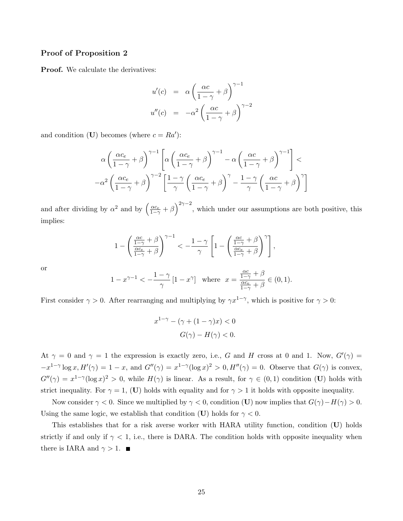### Proof of Proposition 2

Proof. We calculate the derivatives:

$$
u'(c) = \alpha \left(\frac{\alpha c}{1-\gamma} + \beta\right)^{\gamma-1}
$$

$$
u''(c) = -\alpha^2 \left(\frac{\alpha c}{1-\gamma} + \beta\right)^{\gamma-2}
$$

and condition (U) becomes (where  $c = Ra'$ ):

$$
\alpha \left( \frac{\alpha c_e}{1 - \gamma} + \beta \right)^{\gamma - 1} \left[ \alpha \left( \frac{\alpha c_e}{1 - \gamma} + \beta \right)^{\gamma - 1} - \alpha \left( \frac{\alpha c}{1 - \gamma} + \beta \right)^{\gamma - 1} \right] - \alpha^2 \left( \frac{\alpha c_e}{1 - \gamma} + \beta \right)^{\gamma - 2} \left[ \frac{1 - \gamma}{\gamma} \left( \frac{\alpha c_e}{1 - \gamma} + \beta \right)^{\gamma} - \frac{1 - \gamma}{\gamma} \left( \frac{\alpha c}{1 - \gamma} + \beta \right)^{\gamma} \right]
$$

and after dividing by  $\alpha^2$  and by  $\left(\frac{\alpha c_e}{1-\gamma}+\beta\right)^{2\gamma-2}$ , which under our assumptions are both positive, this implies:

$$
1 - \left(\frac{\frac{\alpha c}{1-\gamma} + \beta}{\frac{\alpha c_e}{1-\gamma} + \beta}\right)^{\gamma - 1} < -\frac{1 - \gamma}{\gamma} \left[1 - \left(\frac{\frac{\alpha c}{1-\gamma} + \beta}{\frac{\alpha c_e}{1-\gamma} + \beta}\right)^{\gamma}\right],
$$

or

$$
1 - x^{\gamma - 1} < -\frac{1 - \gamma}{\gamma} [1 - x^{\gamma}] \quad \text{where} \quad x = \frac{\frac{\alpha c}{1 - \gamma} + \beta}{\frac{\alpha c_e}{1 - \gamma} + \beta} \in (0, 1).
$$

First consider  $\gamma > 0$ . After rearranging and multiplying by  $\gamma x^{1-\gamma}$ , which is positive for  $\gamma > 0$ :

$$
x^{1-\gamma} - (\gamma + (1-\gamma)x) < 0
$$
\n
$$
G(\gamma) - H(\gamma) < 0.
$$

At  $\gamma = 0$  and  $\gamma = 1$  the expression is exactly zero, i.e., G and H cross at 0 and 1. Now,  $G'(\gamma) =$  $-x^{1-\gamma} \log x$ ,  $H'(\gamma) = 1-x$ , and  $G''(\gamma) = x^{1-\gamma} (\log x)^2 > 0$ ,  $H''(\gamma) = 0$ . Observe that  $G(\gamma)$  is convex,  $G''(\gamma) = x^{1-\gamma}(\log x)^2 > 0$ , while  $H(\gamma)$  is linear. As a result, for  $\gamma \in (0,1)$  condition (U) holds with strict inequality. For  $\gamma = 1$ , (U) holds with equality and for  $\gamma > 1$  it holds with opposite inequality.

Now consider  $\gamma < 0$ . Since we multiplied by  $\gamma < 0$ , condition (U) now implies that  $G(\gamma) - H(\gamma) > 0$ . Using the same logic, we establish that condition (U) holds for  $\gamma < 0$ .

This establishes that for a risk averse worker with HARA utility function, condition (U) holds strictly if and only if  $\gamma$  < 1, i.e., there is DARA. The condition holds with opposite inequality when there is IARA and  $\gamma > 1$ .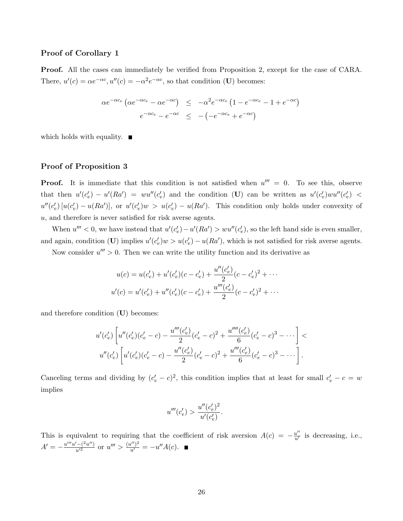### Proof of Corollary 1

Proof. All the cases can immediately be verified from Proposition 2, except for the case of CARA. There,  $u'(c) = \alpha e^{-\alpha c}$ ,  $u''(c) = -\alpha^2 e^{-\alpha c}$ , so that condition (U) becomes:

$$
\alpha e^{-\alpha c_e} \left( \alpha e^{-\alpha c_e} - \alpha e^{-\alpha c} \right) \leq -\alpha^2 e^{-\alpha c_e} \left( 1 - e^{-\alpha c_e} - 1 + e^{-\alpha c} \right)
$$

$$
e^{-\alpha c_e} - e^{-\alpha c} \leq -\left( -e^{-\alpha c_e} + e^{-\alpha c} \right)
$$

which holds with equality.  $\blacksquare$ 

## Proof of Proposition 3

**Proof.** It is immediate that this condition is not satisfied when  $u''' = 0$ . To see this, observe that then  $u'(c'_e) - u'(Ra') = w u''(c'_e)$  and the condition (U) can be written as  $u'(c'_e)w u''(c'_e)$  $u''(c'_e)$  [ $u(c'_e) - u(Ra')$ ], or  $u'(c'_e)w > u(c'_e) - u(Ra')$ . This condition only holds under convexity of  $u$ , and therefore is never satisfied for risk averse agents.

When  $u''' < 0$ , we have instead that  $u'(c'_e) - u'(Ra') > w u''(c'_e)$ , so the left hand side is even smaller, and again, condition (U) implies  $u'(c'_e)w > u(c'_e) - u(Ra')$ , which is not satisfied for risk averse agents.

Now consider  $u''' > 0$ . Then we can write the utility function and its derivative as

$$
u(c) = u(c'_e) + u'(c'_e)(c - c'_e) + \frac{u''(c'_e)}{2}(c - c'_e)^2 + \cdots
$$
  

$$
u'(c) = u'(c'_e) + u''(c'_e)(c - c'_e) + \frac{u'''(c'_e)}{2}(c - c'_e)^2 + \cdots
$$

and therefore condition  $(U)$  becomes:

$$
u'(c'_e) \left[ u''(c'_e)(c'_e - c) - \frac{u'''(c'_e)}{2}(c'_e - c)^2 + \frac{u''''(c'_e)}{6}(c'_e - c)^3 - \dots \right] u''(c'_e) \left[ u'(c'_e)(c'_e - c) - \frac{u''(c'_e)}{2}(c'_e - c)^2 + \frac{u'''(c'_e)}{6}(c'_e - c)^3 - \dots \right].
$$

Canceling terms and dividing by  $(c'_e - c)^2$ , this condition implies that at least for small  $c'_e - c = w$ implies

$$
u'''(c'_e) > \frac{u''(c'_e)^2}{u'(c'_e)}.
$$

This is equivalent to requiring that the coefficient of risk aversion  $A(c) = -\frac{u''}{u'}$  is decreasing, i.e.,  $A' = -\frac{u'''u' - (2u'')}{u'^2}$  or  $u''' > \frac{(u'')^2}{u'} = -u''A(c)$ .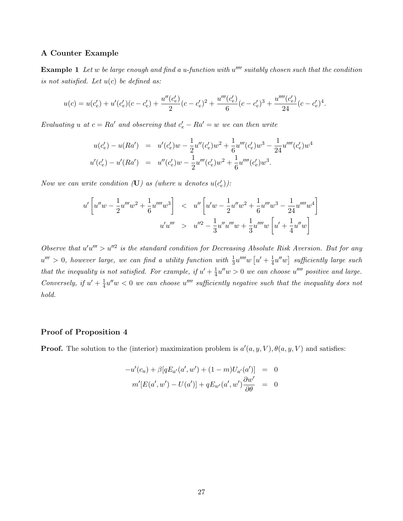## A Counter Example

**Example 1** Let  $w$  be large enough and find a u-function with  $u''''$  suitably chosen such that the condition is not satisfied. Let  $u(c)$  be defined as:

$$
u(c) = u(c'_e) + u'(c'_e)(c - c'_e) + \frac{u''(c'_e)}{2}(c - c'_e)^2 + \frac{u'''(c'_e)}{6}(c - c'_e)^3 + \frac{u''''(c'_e)}{24}(c - c'_e)^4.
$$

Evaluating u at  $c = Ra'$  and observing that  $c'_{e} - Ra' = w$  we can then write

$$
u(c'_e) - u(Ra') = u'(c'_e)w - \frac{1}{2}u''(c'_e)w^2 + \frac{1}{6}u'''(c'_e)w^3 - \frac{1}{24}u''''(c'_e)w^4
$$
  

$$
u'(c'_e) - u'(Ra') = u''(c'_e)w - \frac{1}{2}u'''(c'_e)w^2 + \frac{1}{6}u''''(c'_e)w^3.
$$

Now we can write condition  $(\mathbf{U})$  as (where u denotes  $u(c'_e)$ ):

$$
u'\left[u''w - \frac{1}{2}u''w^2 + \frac{1}{6}u''''w^3\right] < u''\left[u'w - \frac{1}{2}u''w^2 + \frac{1}{6}u''w^3 - \frac{1}{24}u''''w^4\right]
$$
  

$$
u'u''' > u''^2 - \frac{1}{3}u''u''w + \frac{1}{3}u''''w\left[u' + \frac{1}{4}u''w\right]
$$

Observe that  $u'u''' > u''^2$  is the standard condition for Decreasing Absolute Risk Aversion. But for any  $u''' > 0$ , however large, we can find a utility function with  $\frac{1}{3}u''''w$   $[u' + \frac{1}{4}$  $\frac{1}{4}u''w$  sufficiently large such that the inequality is not satisfied. For example, if  $u' + \frac{1}{4}$  $\frac{1}{4}u''w > 0$  we can choose  $u''''$  positive and large. Conversely, if  $u' + \frac{1}{4}$  $\frac{1}{4}u''w < 0$  we can choose  $u''''$  sufficiently negative such that the inequality does not hold.

## Proof of Proposition 4

**Proof.** The solution to the (interior) maximization problem is  $a'(a, y, V)$ ,  $\theta(a, y, V)$  and satisfies:

$$
-u'(c_u) + \beta[qE_{a'}(a', w') + (1 - m)U_{a'}(a')] = 0
$$
  

$$
m'[E(a', w') - U(a')] + qE_{w'}(a', w')\frac{\partial w'}{\partial \theta} = 0
$$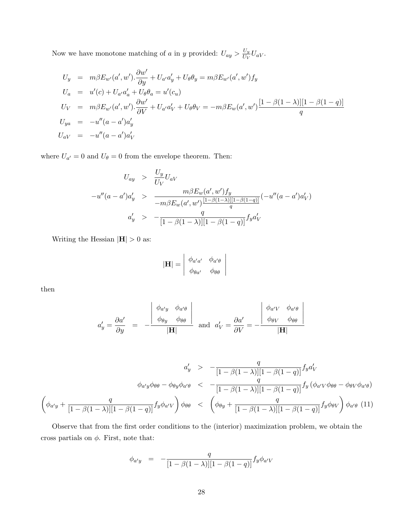Now we have monotone matching of a in y provided:  $U_{ay} > \frac{U_y}{U_{yy}}$  $\frac{U_{y}}{U_{V}}U_{aV}.$ 

$$
U_y = m\beta E_{w'}(a', w') \cdot \frac{\partial w'}{\partial y} + U_{a'}a'_y + U_{\theta}\theta_y = m\beta E_{w'}(a', w')f_y
$$
  
\n
$$
U_a = u'(c) + U_{a'}a'_a + U_{\theta}\theta_a = u'(c_u)
$$
  
\n
$$
U_V = m\beta E_{w'}(a', w') \cdot \frac{\partial w'}{\partial V} + U_{a'}a'_V + U_{\theta}\theta_V = -m\beta E_w(a', w') \frac{[1 - \beta(1 - \lambda)][1 - \beta(1 - q)]}{q}
$$
  
\n
$$
U_{ya} = -u''(a - a')a'_y
$$
  
\n
$$
U_{aV} = -u''(a - a')a'_V
$$

where  $U_{a'} = 0$  and  $U_{\theta} = 0$  from the envelope theorem. Then:

$$
U_{ay} > \frac{U_y}{U_V} U_{aV}
$$
  
-u''(a - a')a'<sub>y</sub> > 
$$
\frac{m\beta E_w(a', w')f_y}{-m\beta E_w(a', w')\frac{[1-\beta(1-\lambda)][1-\beta(1-q)]}{q}}(-u''(a - a')a'_{V})
$$
  
a'<sub>y</sub> > 
$$
-\frac{q}{[1-\beta(1-\lambda)][1-\beta(1-q)]}f_ya'_{V}
$$

Writing the Hessian  $|\mathbf{H}| > 0$  as:

$$
|\mathbf{H}| = \begin{vmatrix} \phi_{a'a'} & \phi_{a'\theta} \\ \phi_{\theta a'} & \phi_{\theta \theta} \end{vmatrix}
$$

then

$$
a'_{y} = \frac{\partial a'}{\partial y} = -\frac{\begin{vmatrix} \phi_{a'y} & \phi_{a'\theta} \\ \phi_{\theta y} & \phi_{\theta \theta} \end{vmatrix}}{\left|\mathbf{H}\right|} \text{ and } a'_{V} = \frac{\partial a'}{\partial V} = -\frac{\begin{vmatrix} \phi_{a'V} & \phi_{a'\theta} \\ \phi_{\theta V} & \phi_{\theta \theta} \end{vmatrix}}{\left|\mathbf{H}\right|}
$$

$$
a'_y \quad > \quad -\frac{q}{[1-\beta(1-\lambda)][1-\beta(1-q)]} f_y a'_V
$$
\n
$$
\phi_{a'y}\phi_{\theta\theta} - \phi_{\theta y}\phi_{a'\theta} \quad < \quad -\frac{q}{[1-\beta(1-\lambda)][1-\beta(1-q)]} f_y \left(\phi_{a'}\psi\phi_{\theta\theta} - \phi_{\theta V}\phi_{a'\theta}\right)
$$
\n
$$
\left(\phi_{a'y} + \frac{q}{[1-\beta(1-\lambda)][1-\beta(1-q)]} f_y \phi_{a'V}\right)\phi_{\theta\theta} \quad < \quad \left(\phi_{\theta y} + \frac{q}{[1-\beta(1-\lambda)][1-\beta(1-q)]} f_y \phi_{\theta V}\right)\phi_{a'\theta} \quad (11)
$$

Observe that from the first order conditions to the (interior) maximization problem, we obtain the cross partials on  $\phi$ . First, note that:

$$
\phi_{a'y} = -\frac{q}{[1 - \beta(1 - \lambda)][1 - \beta(1 - q)]} f_y \phi_{a'V}
$$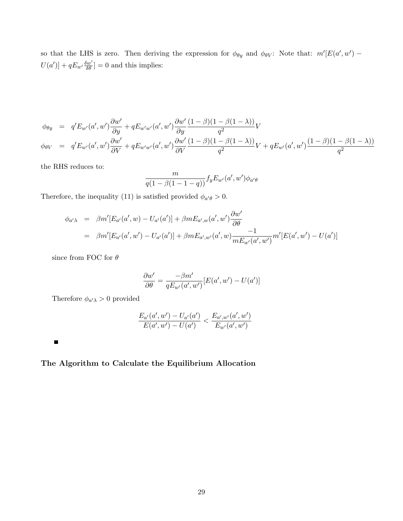so that the LHS is zero. Then deriving the expression for  $\phi_{\theta y}$  and  $\phi_{\theta y}$ : Note that:  $m'[E(a', w') - E(a', w')]$  $U(a')] + qE_{w'}\frac{\delta w'}{\delta \theta} = 0$  and this implies:

$$
\phi_{\theta y} = q' E_{w'}(a', w') \frac{\partial w'}{\partial y} + q E_{w'w'}(a', w') \frac{\partial w'}{\partial y} \frac{(1 - \beta)(1 - \beta(1 - \lambda))}{q^2} V
$$
\n
$$
\phi_{\theta V} = q' E_{w'}(a', w') \frac{\partial w'}{\partial V} + q E_{w'w'}(a', w') \frac{\partial w'}{\partial V} \frac{(1 - \beta)(1 - \beta(1 - \lambda))}{q^2} V + q E_{w'}(a', w') \frac{(1 - \beta)(1 - \beta(1 - \lambda))}{q^2}
$$

the RHS reduces to:

$$
\frac{m}{q(1-\beta(1-1-q))}f_yE_{w'}(a',w')\phi_{a'\theta}
$$

Therefore, the inequality (11) is satisfied provided  $\phi_{a'\theta} > 0$ .

$$
\phi_{a'\lambda} = \beta m'[E_{a'}(a', w) - U_{a'}(a')] + \beta m E_{a',w}(a', w') \frac{\partial w'}{\partial \theta}
$$
  
=  $\beta m'[E_{a'}(a', w') - U_{a'}(a')] + \beta m E_{a',w'}(a', w) \frac{-1}{m E_{w'}(a', w')} m'[E(a', w') - U(a')]$ 

since from FOC for  $\theta$ 

$$
\frac{\partial w'}{\partial \theta} = \frac{-\beta m'}{q E_{w'}(a', w')} [E(a', w') - U(a')]
$$

Therefore  $\phi_{a'} \geq 0$  provided

$$
\frac{E_{a'}(a', w') - U_{a'}(a')}{E(a', w') - U(a')} < \frac{E_{a', w'}(a', w')}{E_{w'}(a', w')}
$$

 $\blacksquare$ 

# The Algorithm to Calculate the Equilibrium Allocation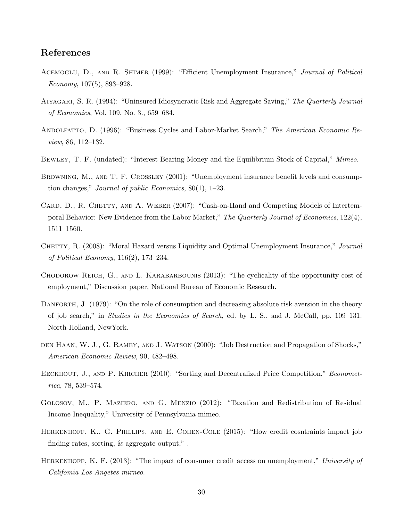# References

- ACEMOGLU, D., AND R. SHIMER (1999): "Efficient Unemployment Insurance," Journal of Political  $Economy, 107(5), 893-928.$
- Aiyagari, S. R. (1994): "Uninsured Idiosyncratic Risk and Aggregate Saving," The Quarterly Journal of Economics, Vol. 109, No. 3., 659–684.
- ANDOLFATTO, D. (1996): "Business Cycles and Labor-Market Search," The American Economic Review, 86, 112–132.
- Bewley, T. F. (undated): "Interest Bearing Money and the Equilibrium Stock of Capital," Mimeo.
- BROWNING, M., AND T. F. CROSSLEY (2001): "Unemployment insurance benefit levels and consumption changes," Journal of public Economics, 80(1), 1–23.
- CARD, D., R. CHETTY, AND A. WEBER (2007): "Cash-on-Hand and Competing Models of Intertemporal Behavior: New Evidence from the Labor Market," The Quarterly Journal of Economics, 122(4), 1511–1560.
- CHETTY, R. (2008): "Moral Hazard versus Liquidity and Optimal Unemployment Insurance," Journal of Political Economy, 116(2), 173–234.
- Chodorow-Reich, G., and L. Karabarbounis (2013): "The cyclicality of the opportunity cost of employment," Discussion paper, National Bureau of Economic Research.
- DANFORTH, J. (1979): "On the role of consumption and decreasing absolute risk aversion in the theory of job search," in Studies in the Economics of Search, ed. by L. S., and J. McCall, pp. 109–131. North-Holland, NewYork.
- den Haan, W. J., G. Ramey, and J. Watson (2000): "Job Destruction and Propagation of Shocks," American Economic Review, 90, 482–498.
- EECKHOUT, J., AND P. KIRCHER (2010): "Sorting and Decentralized Price Competition," Econometrica, 78, 539–574.
- Golosov, M., P. Maziero, and G. Menzio (2012): "Taxation and Redistribution of Residual Income Inequality," University of Pennsylvania mimeo.
- HERKENHOFF, K., G. PHILLIPS, AND E. COHEN-COLE (2015): "How credit cosntraints impact job finding rates, sorting, & aggregate output," .
- HERKENHOFF, K. F. (2013): "The impact of consumer credit access on unemployment," University of Califomia Los Angetes mirneo.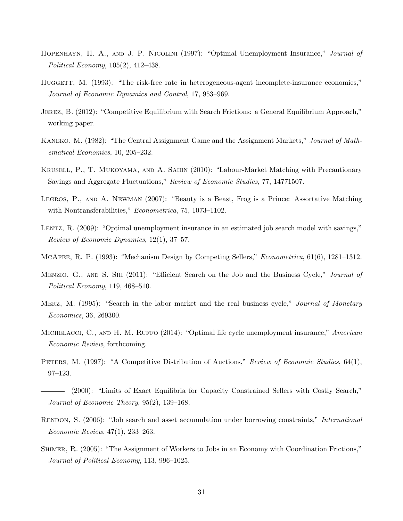- Hopenhayn, H. A., and J. P. Nicolini (1997): "Optimal Unemployment Insurance," Journal of Political Economy, 105(2), 412–438.
- HUGGETT, M. (1993): "The risk-free rate in heterogeneous-agent incomplete-insurance economies," Journal of Economic Dynamics and Control, 17, 953–969.
- JEREZ, B. (2012): "Competitive Equilibrium with Search Frictions: a General Equilibrium Approach," working paper.
- KANEKO, M. (1982): "The Central Assignment Game and the Assignment Markets," Journal of Mathematical Economics, 10, 205–232.
- Krusell, P., T. Mukoyama, and A. Sahin (2010): "Labour-Market Matching with Precautionary Savings and Aggregate Fluctuations," Review of Economic Studies, 77, 14771507.
- Legros, P., and A. Newman (2007): "Beauty is a Beast, Frog is a Prince: Assortative Matching with Nontransferabilities," *Econometrica*, 75, 1073–1102.
- LENTZ, R. (2009): "Optimal unemployment insurance in an estimated job search model with savings," Review of Economic Dynamics, 12(1), 37–57.
- McAfee, R. P. (1993): "Mechanism Design by Competing Sellers," Econometrica, 61(6), 1281–1312.
- MENZIO, G., AND S. SHI (2011): "Efficient Search on the Job and the Business Cycle," Journal of Political Economy, 119, 468–510.
- MERZ, M. (1995): "Search in the labor market and the real business cycle," Journal of Monetary Economics, 36, 269300.
- MICHELACCI, C., AND H. M. RUFFO (2014): "Optimal life cycle unemployment insurance," American Economic Review, forthcoming.
- PETERS, M. (1997): "A Competitive Distribution of Auctions," Review of Economic Studies, 64(1), 97–123.
- (2000): "Limits of Exact Equilibria for Capacity Constrained Sellers with Costly Search," Journal of Economic Theory, 95(2), 139–168.
- RENDON, S. (2006): "Job search and asset accumulation under borrowing constraints," *International* Economic Review, 47(1), 233–263.
- Shimer, R. (2005): "The Assignment of Workers to Jobs in an Economy with Coordination Frictions," Journal of Political Economy, 113, 996–1025.